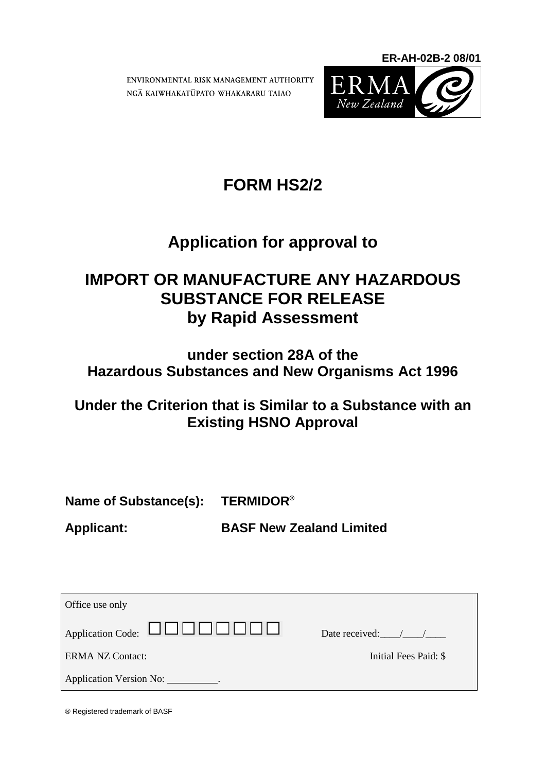ENVIRONMENTAL RISK MANAGEMENT AUTHORITY NGA KAIWHAKATUPATO WHAKARARU TAIAO



**ER-AH-02B-2 08/01**

# **FORM HS2/2**

# **Application for approval to**

# **IMPORT OR MANUFACTURE ANY HAZARDOUS SUBSTANCE FOR RELEASE by Rapid Assessment**

## **under section 28A of the Hazardous Substances and New Organisms Act 1996**

# **Under the Criterion that is Similar to a Substance with an Existing HSNO Approval**

**Name of Substance(s): TERMIDOR®**

**Applicant: BASF New Zealand Limited**

| Office use only                                                           |                       |
|---------------------------------------------------------------------------|-----------------------|
| $\Box$ Application Code: $\Box$ $\Box$ $\Box$ $\Box$ $\Box$ $\Box$ $\Box$ | Date received: / /    |
| <b>ERMA NZ Contact:</b>                                                   | Initial Fees Paid: \$ |
| Application Version No: ___________.                                      |                       |

® Registered trademark of BASF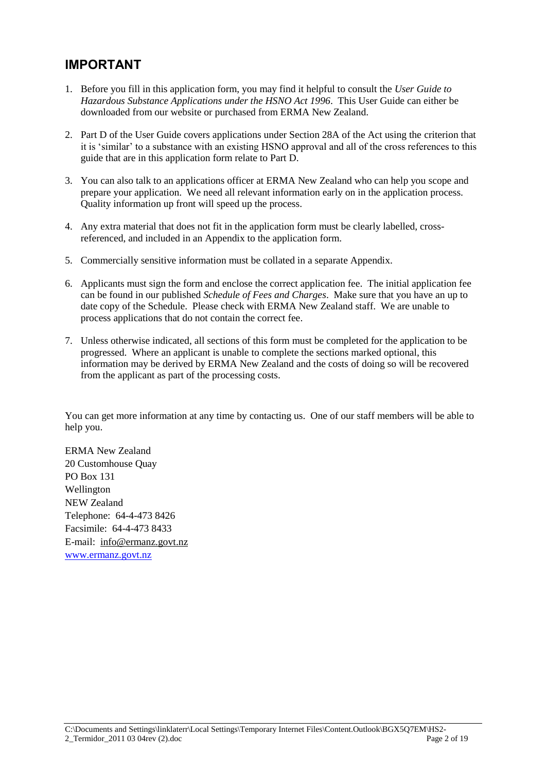### **IMPORTANT**

- 1. Before you fill in this application form, you may find it helpful to consult the *User Guide to Hazardous Substance Applications under the HSNO Act 1996*. This User Guide can either be downloaded from our website or purchased from ERMA New Zealand.
- 2. Part D of the User Guide covers applications under Section 28A of the Act using the criterion that it is "similar" to a substance with an existing HSNO approval and all of the cross references to this guide that are in this application form relate to Part D.
- 3. You can also talk to an applications officer at ERMA New Zealand who can help you scope and prepare your application. We need all relevant information early on in the application process. Quality information up front will speed up the process.
- 4. Any extra material that does not fit in the application form must be clearly labelled, crossreferenced, and included in an Appendix to the application form.
- 5. Commercially sensitive information must be collated in a separate Appendix.
- 6. Applicants must sign the form and enclose the correct application fee. The initial application fee can be found in our published *Schedule of Fees and Charges*. Make sure that you have an up to date copy of the Schedule. Please check with ERMA New Zealand staff. We are unable to process applications that do not contain the correct fee.
- 7. Unless otherwise indicated, all sections of this form must be completed for the application to be progressed. Where an applicant is unable to complete the sections marked optional, this information may be derived by ERMA New Zealand and the costs of doing so will be recovered from the applicant as part of the processing costs.

You can get more information at any time by contacting us. One of our staff members will be able to help you.

ERMA New Zealand 20 Customhouse Quay PO Box 131 Wellington NEW Zealand Telephone: 64-4-473 8426 Facsimile: 64-4-473 8433 E-mail: [info@ermanz.govt.nz](mailto:info@ermanz.govt.nz) [www.ermanz.govt.nz](http://www.ermanz.govt.nz/)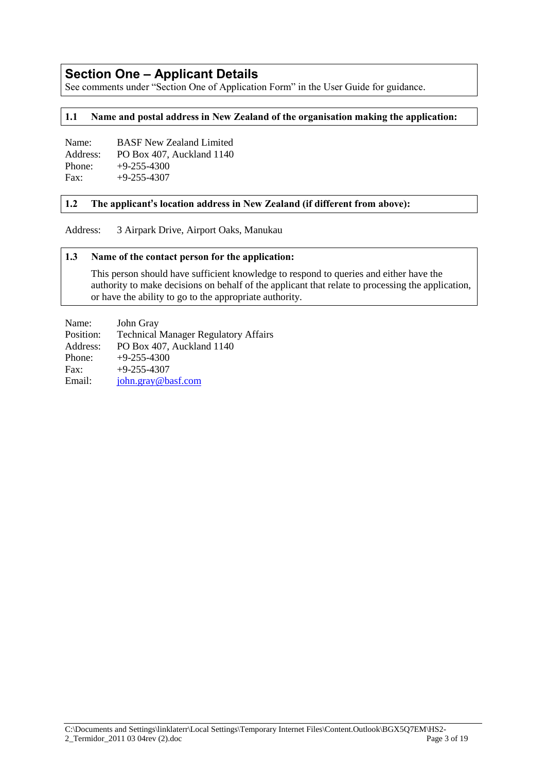### **Section One – Applicant Details**

See comments under "Section One of Application Form" in the User Guide for guidance.

#### **1.1 Name and postal address in New Zealand of the organisation making the application:**

| Name:    | <b>BASF New Zealand Limited</b> |
|----------|---------------------------------|
| Address: | PO Box 407. Auckland 1140       |
| Phone:   | $+9-255-4300$                   |
| Fax:     | $+9-255-4307$                   |

#### **1.2 The applicant's location address in New Zealand (if different from above):**

Address: 3 Airpark Drive, Airport Oaks, Manukau

#### **1.3 Name of the contact person for the application:**

This person should have sufficient knowledge to respond to queries and either have the authority to make decisions on behalf of the applicant that relate to processing the application, or have the ability to go to the appropriate authority.

Name: John Gray Position: Technical Manager Regulatory Affairs Address: PO Box 407, Auckland 1140 Phone:  $+9-255-4300$ Fax:  $+9-255-4307$ Email: [john.gray@basf.com](mailto:john.gray@basf.com)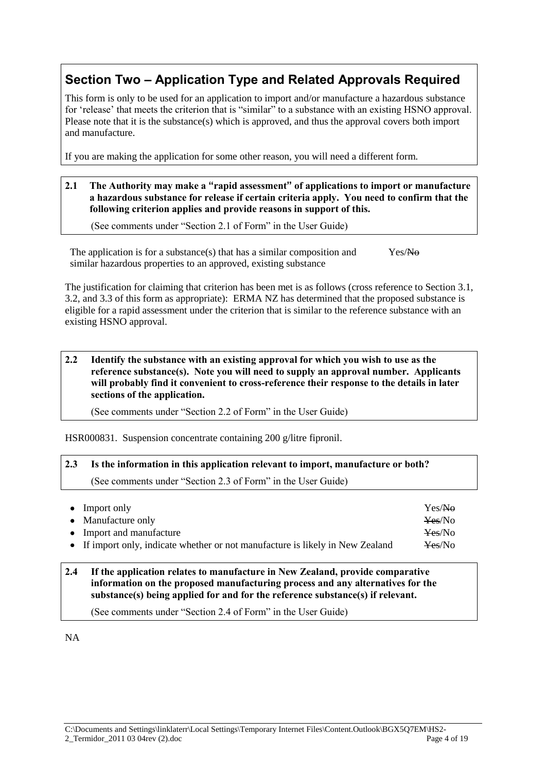### **Section Two – Application Type and Related Approvals Required**

This form is only to be used for an application to import and/or manufacture a hazardous substance for "release" that meets the criterion that is "similar" to a substance with an existing HSNO approval. Please note that it is the substance(s) which is approved, and thus the approval covers both import and manufacture.

If you are making the application for some other reason, you will need a different form.

**2.1 The Authority may make a "rapid assessment" of applications to import or manufacture a hazardous substance for release if certain criteria apply. You need to confirm that the following criterion applies and provide reasons in support of this.**

(See comments under "Section 2.1 of Form" in the User Guide)

The application is for a substance(s) that has a similar composition and similar hazardous properties to an approved, existing substance Yes/No

The justification for claiming that criterion has been met is as follows (cross reference to Section 3.1, 3.2, and 3.3 of this form as appropriate): ERMA NZ has determined that the proposed substance is eligible for a rapid assessment under the criterion that is similar to the reference substance with an existing HSNO approval.

**2.2 Identify the substance with an existing approval for which you wish to use as the reference substance(s). Note you will need to supply an approval number. Applicants will probably find it convenient to cross-reference their response to the details in later sections of the application.**

(See comments under "Section 2.2 of Form" in the User Guide)

HSR000831. Suspension concentrate containing 200 g/litre fipronil.

## **2.3 Is the information in this application relevant to import, manufacture or both?**

(See comments under "Section 2.3 of Form" in the User Guide)

| $\bullet$ Import only                                                          | Yes/No             |
|--------------------------------------------------------------------------------|--------------------|
| • Manufacture only                                                             | Yes/No             |
| • Import and manufacture                                                       | Yes/No             |
| • If import only, indicate whether or not manufacture is likely in New Zealand | <del>Yes</del> /No |

#### **2.4 If the application relates to manufacture in New Zealand, provide comparative information on the proposed manufacturing process and any alternatives for the substance(s) being applied for and for the reference substance(s) if relevant.**

(See comments under "Section 2.4 of Form" in the User Guide)

NA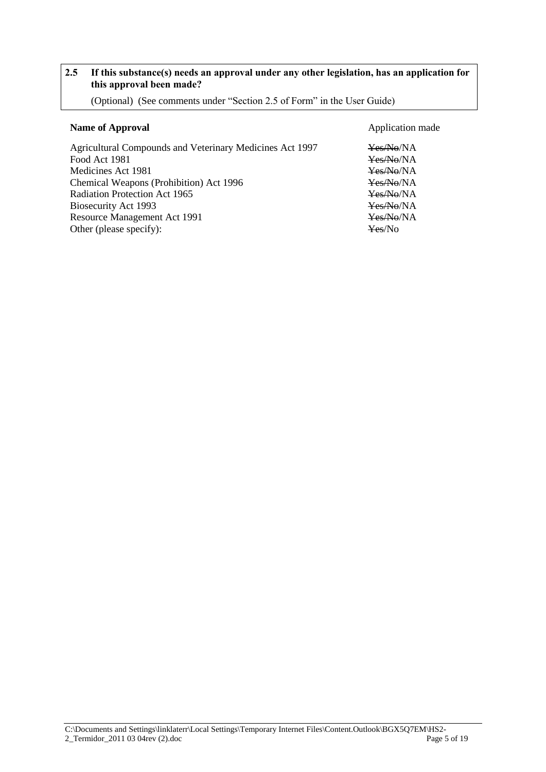#### **2.5 If this substance(s) needs an approval under any other legislation, has an application for this approval been made?**

(Optional) (See comments under "Section 2.5 of Form" in the User Guide)

#### **Name of Approval** Application made

Agricultural Compounds and Veterinary Medicines Act 1997 Yes/No/NA Food Act 1981 **Yes/No/NA** Medicines Act 1981 Yes/No/NA Chemical Weapons (Prohibition) Act 1996 Yes/No/NA Radiation Protection Act 1965<br>
Biosecurity Act 1993<br>
Yes/No/NA<br>
Yes/No/NA Biosecurity Act 1993<br>
Resource Management Act 1991<br>
Yes/No/NA<br>
Yes/No/NA Resource Management Act 1991 Other (please specify):  $\frac{1}{2}$  Yes/No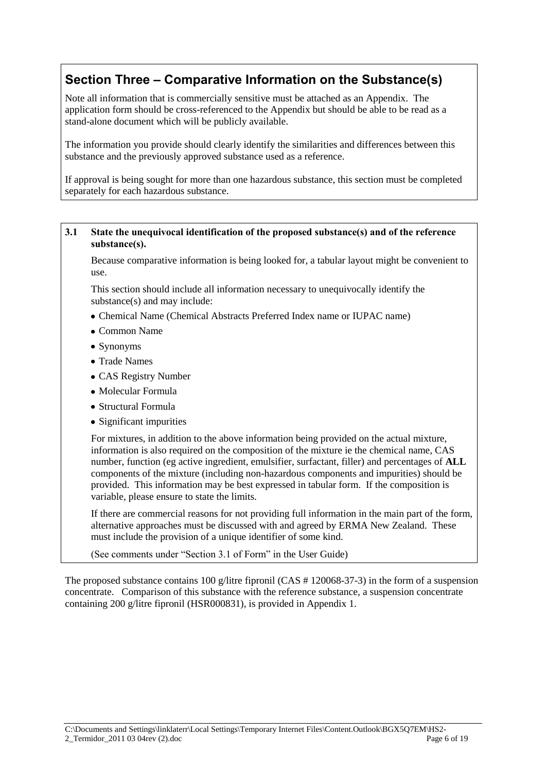### **Section Three – Comparative Information on the Substance(s)**

Note all information that is commercially sensitive must be attached as an Appendix. The application form should be cross-referenced to the Appendix but should be able to be read as a stand-alone document which will be publicly available.

The information you provide should clearly identify the similarities and differences between this substance and the previously approved substance used as a reference.

If approval is being sought for more than one hazardous substance, this section must be completed separately for each hazardous substance.

#### **3.1 State the unequivocal identification of the proposed substance(s) and of the reference substance(s).**

Because comparative information is being looked for, a tabular layout might be convenient to use.

This section should include all information necessary to unequivocally identify the substance(s) and may include:

- Chemical Name (Chemical Abstracts Preferred Index name or IUPAC name)
- Common Name
- Synonyms
- Trade Names
- CAS Registry Number
- Molecular Formula
- Structural Formula
- Significant impurities

For mixtures, in addition to the above information being provided on the actual mixture, information is also required on the composition of the mixture ie the chemical name, CAS number, function (eg active ingredient, emulsifier, surfactant, filler) and percentages of **ALL** components of the mixture (including non-hazardous components and impurities) should be provided. This information may be best expressed in tabular form. If the composition is variable, please ensure to state the limits.

If there are commercial reasons for not providing full information in the main part of the form, alternative approaches must be discussed with and agreed by ERMA New Zealand. These must include the provision of a unique identifier of some kind.

(See comments under "Section 3.1 of Form" in the User Guide)

The proposed substance contains 100 g/litre fipronil (CAS # 120068-37-3) in the form of a suspension concentrate. Comparison of this substance with the reference substance, a suspension concentrate containing 200 g/litre fipronil (HSR000831), is provided in Appendix 1.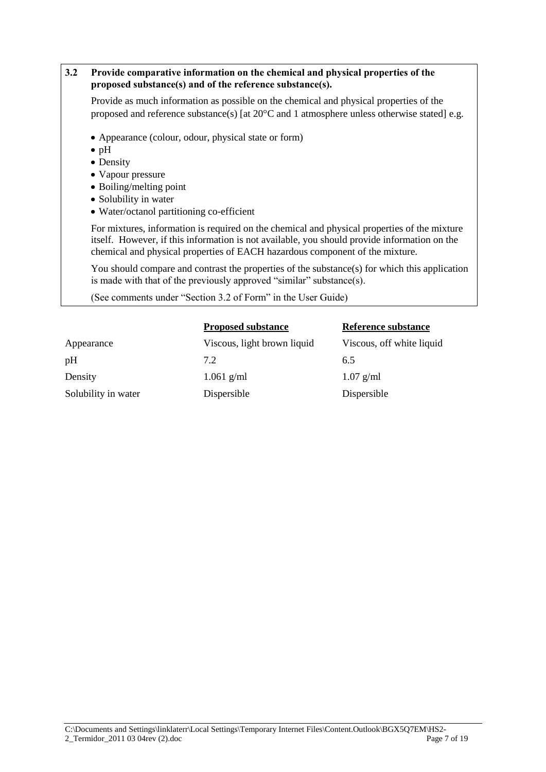#### **3.2 Provide comparative information on the chemical and physical properties of the proposed substance(s) and of the reference substance(s).**

Provide as much information as possible on the chemical and physical properties of the proposed and reference substance(s) [at  $20^{\circ}$ C and 1 atmosphere unless otherwise stated] e.g.

- Appearance (colour, odour, physical state or form)
- $\bullet$  pH
- Density
- Vapour pressure
- Boiling/melting point
- Solubility in water
- Water/octanol partitioning co-efficient

For mixtures, information is required on the chemical and physical properties of the mixture itself. However, if this information is not available, you should provide information on the chemical and physical properties of EACH hazardous component of the mixture.

You should compare and contrast the properties of the substance(s) for which this application is made with that of the previously approved "similar" substance(s).

(See comments under "Section 3.2 of Form" in the User Guide)

|                     | <b>Proposed substance</b>   | Reference substance       |
|---------------------|-----------------------------|---------------------------|
| Appearance          | Viscous, light brown liquid | Viscous, off white liquid |
| pH                  | 7.2                         | 6.5                       |
| Density             | $1.061$ g/ml                | $1.07$ g/ml               |
| Solubility in water | Dispersible                 | Dispersible               |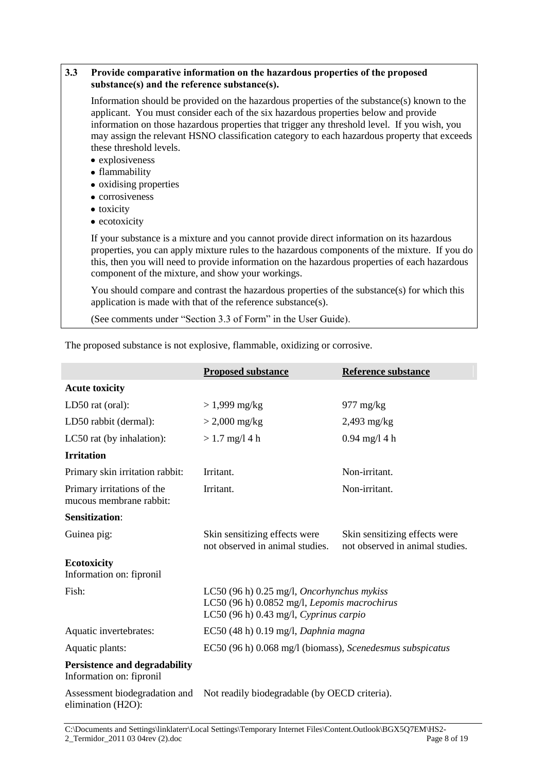| 3.3 | Provide comparative information on the hazardous properties of the proposed<br>substance(s) and the reference substance(s).                                                                                                                                                                                                                                                                                   |
|-----|---------------------------------------------------------------------------------------------------------------------------------------------------------------------------------------------------------------------------------------------------------------------------------------------------------------------------------------------------------------------------------------------------------------|
|     | Information should be provided on the hazardous properties of the substance(s) known to the<br>applicant. You must consider each of the six hazardous properties below and provide<br>information on those hazardous properties that trigger any threshold level. If you wish, you<br>may assign the relevant HSNO classification category to each hazardous property that exceeds<br>these threshold levels. |
|     | • explosiveness<br>• flammability                                                                                                                                                                                                                                                                                                                                                                             |
|     | • oxidising properties                                                                                                                                                                                                                                                                                                                                                                                        |
|     | • corrosiveness                                                                                                                                                                                                                                                                                                                                                                                               |
|     | • toxicity                                                                                                                                                                                                                                                                                                                                                                                                    |
|     | $\bullet$ ecotoxicity                                                                                                                                                                                                                                                                                                                                                                                         |
|     | If your substance is a mixture and you cannot provide direct information on its hazardous<br>properties, you can apply mixture rules to the hazardous components of the mixture. If you do<br>this, then you will need to provide information on the hazardous properties of each hazardous<br>component of the mixture, and show your workings.                                                              |
|     | You should compare and contrast the hazardous properties of the substance(s) for which this<br>application is made with that of the reference substance(s).                                                                                                                                                                                                                                                   |
|     | (See comments under "Section 3.3 of Form" in the User Guide).                                                                                                                                                                                                                                                                                                                                                 |
|     |                                                                                                                                                                                                                                                                                                                                                                                                               |

|                                                                  | <b>Proposed substance</b>                                                                                                                       | <b>Reference substance</b>                                       |
|------------------------------------------------------------------|-------------------------------------------------------------------------------------------------------------------------------------------------|------------------------------------------------------------------|
| <b>Acute toxicity</b>                                            |                                                                                                                                                 |                                                                  |
| LD50 rat (oral):                                                 | $> 1,999$ mg/kg                                                                                                                                 | $977 \text{ mg/kg}$                                              |
| LD50 rabbit (dermal):                                            | $> 2,000$ mg/kg                                                                                                                                 | $2,493$ mg/kg                                                    |
| LC50 rat (by inhalation):                                        | $> 1.7$ mg/l 4 h                                                                                                                                | $0.94$ mg/l 4 h                                                  |
| <b>Irritation</b>                                                |                                                                                                                                                 |                                                                  |
| Primary skin irritation rabbit:                                  | Irritant.                                                                                                                                       | Non-irritant.                                                    |
| Primary irritations of the<br>mucous membrane rabbit:            | Irritant.                                                                                                                                       | Non-irritant.                                                    |
| <b>Sensitization:</b>                                            |                                                                                                                                                 |                                                                  |
| Guinea pig:                                                      | Skin sensitizing effects were<br>not observed in animal studies.                                                                                | Skin sensitizing effects were<br>not observed in animal studies. |
| <b>Ecotoxicity</b><br>Information on: fipronil                   |                                                                                                                                                 |                                                                  |
| Fish:                                                            | LC50 $(96 h)$ 0.25 mg/l, <i>Oncorhynchus mykiss</i><br>LC50 (96 h) 0.0852 mg/l, Lepomis macrochirus<br>LC50 (96 h) $0.43$ mg/l, Cyprinus carpio |                                                                  |
| Aquatic invertebrates:                                           | EC50 (48 h) 0.19 mg/l, Daphnia magna                                                                                                            |                                                                  |
| Aquatic plants:                                                  | EC50 (96 h) 0.068 mg/l (biomass), Scenedesmus subspicatus                                                                                       |                                                                  |
| <b>Persistence and degradability</b><br>Information on: fipronil |                                                                                                                                                 |                                                                  |
| Assessment biodegradation and<br>elimination (H2O):              | Not readily biodegradable (by OECD criteria).                                                                                                   |                                                                  |

The proposed substance is not explosive, flammable, oxidizing or corrosive.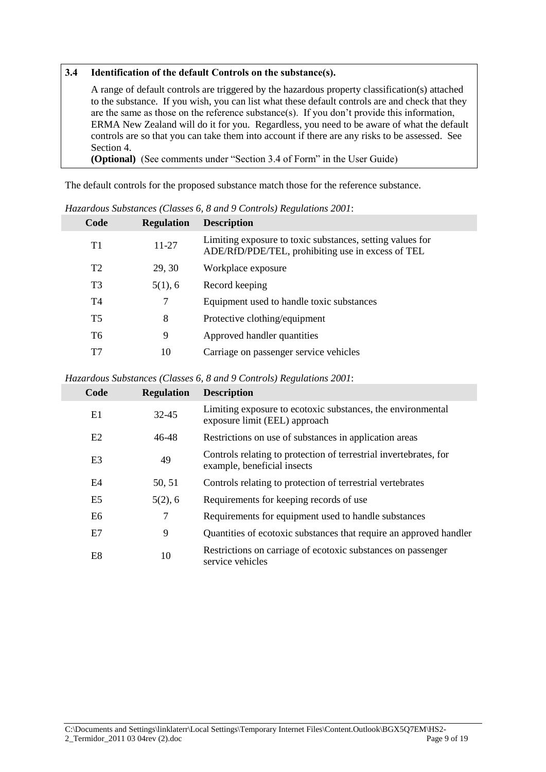#### **3.4 Identification of the default Controls on the substance(s).**

A range of default controls are triggered by the hazardous property classification(s) attached to the substance. If you wish, you can list what these default controls are and check that they are the same as those on the reference substance(s). If you don"t provide this information, ERMA New Zealand will do it for you. Regardless, you need to be aware of what the default controls are so that you can take them into account if there are any risks to be assessed. See Section 4.

**(Optional)** (See comments under "Section 3.4 of Form" in the User Guide)

The default controls for the proposed substance match those for the reference substance.

| Code           | <b>Regulation</b> | <b>Description</b>                                                                                             |
|----------------|-------------------|----------------------------------------------------------------------------------------------------------------|
| T1             | 11-27             | Limiting exposure to toxic substances, setting values for<br>ADE/RfD/PDE/TEL, prohibiting use in excess of TEL |
| T <sub>2</sub> | 29, 30            | Workplace exposure                                                                                             |
| T <sub>3</sub> | 5(1), 6           | Record keeping                                                                                                 |
| T4             | 7                 | Equipment used to handle toxic substances                                                                      |
| <b>T5</b>      | 8                 | Protective clothing/equipment                                                                                  |
| T6             | 9                 | Approved handler quantities                                                                                    |
| T7             | 10                | Carriage on passenger service vehicles                                                                         |

*Hazardous Substances (Classes 6, 8 and 9 Controls) Regulations 2001*:

#### *Hazardous Substances (Classes 6, 8 and 9 Controls) Regulations 2001*:

| Code           | <b>Regulation</b> | <b>Description</b>                                                                               |
|----------------|-------------------|--------------------------------------------------------------------------------------------------|
| E1             | $32 - 45$         | Limiting exposure to ecotoxic substances, the environmental<br>exposure limit (EEL) approach     |
| E2             | 46-48             | Restrictions on use of substances in application areas                                           |
| E <sub>3</sub> | 49                | Controls relating to protection of terrestrial invertebrates, for<br>example, beneficial insects |
| E <sub>4</sub> | 50, 51            | Controls relating to protection of terrestrial vertebrates                                       |
| E <sub>5</sub> | 5(2), 6           | Requirements for keeping records of use                                                          |
| E6             | 7                 | Requirements for equipment used to handle substances                                             |
| E7             | 9                 | Quantities of ecotoxic substances that require an approved handler                               |
| E <sub>8</sub> | 10                | Restrictions on carriage of ecotoxic substances on passenger<br>service vehicles                 |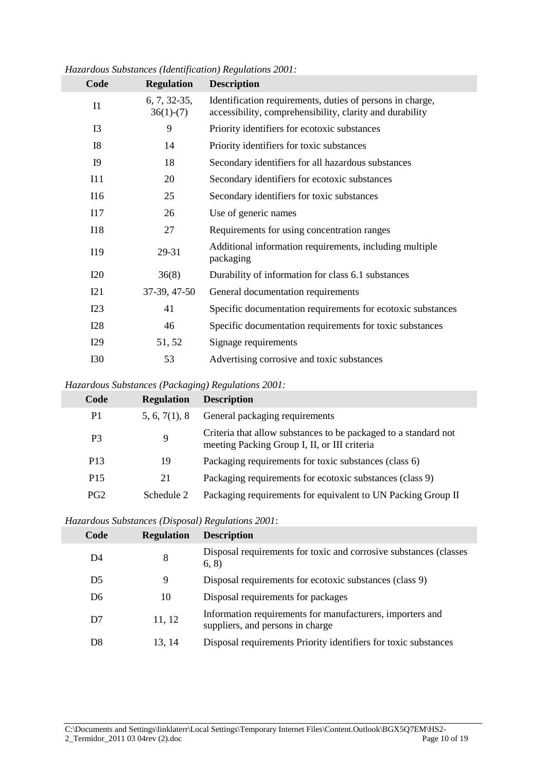| Code           | <b>Regulation</b>             | <b>Description</b>                                                                                                    |
|----------------|-------------------------------|-----------------------------------------------------------------------------------------------------------------------|
| I <sub>1</sub> | $6, 7, 32-35,$<br>$36(1)-(7)$ | Identification requirements, duties of persons in charge,<br>accessibility, comprehensibility, clarity and durability |
| I3             | 9                             | Priority identifiers for ecotoxic substances                                                                          |
| I8             | 14                            | Priority identifiers for toxic substances                                                                             |
| <b>I9</b>      | 18                            | Secondary identifiers for all hazardous substances                                                                    |
| I11            | 20                            | Secondary identifiers for ecotoxic substances                                                                         |
| I16            | 25                            | Secondary identifiers for toxic substances                                                                            |
| I17            | 26                            | Use of generic names                                                                                                  |
| <b>I18</b>     | 27                            | Requirements for using concentration ranges                                                                           |
| I19            | 29-31                         | Additional information requirements, including multiple<br>packaging                                                  |
| <b>I20</b>     | 36(8)                         | Durability of information for class 6.1 substances                                                                    |
| I21            | 37-39, 47-50                  | General documentation requirements                                                                                    |
| I23            | 41                            | Specific documentation requirements for ecotoxic substances                                                           |
| <b>I28</b>     | 46                            | Specific documentation requirements for toxic substances                                                              |
| I29            | 51, 52                        | Signage requirements                                                                                                  |
| <b>I30</b>     | 53                            | Advertising corrosive and toxic substances                                                                            |

*Hazardous Substances (Identification) Regulations 2001:*

#### *Hazardous Substances (Packaging) Regulations 2001:*

| Code            | <b>Regulation</b> | <b>Description</b>                                                                                              |
|-----------------|-------------------|-----------------------------------------------------------------------------------------------------------------|
| P <sub>1</sub>  | 5, 6, 7(1), 8     | General packaging requirements                                                                                  |
| P <sub>3</sub>  | 9                 | Criteria that allow substances to be packaged to a standard not<br>meeting Packing Group I, II, or III criteria |
| P <sub>13</sub> | 19                | Packaging requirements for toxic substances (class 6)                                                           |
| P <sub>15</sub> | 21                | Packaging requirements for ecotoxic substances (class 9)                                                        |
| PG2             | Schedule 2        | Packaging requirements for equivalent to UN Packing Group II                                                    |

#### *Hazardous Substances (Disposal) Regulations 2001*:

| Code           | <b>Regulation</b> | <b>Description</b>                                                                            |
|----------------|-------------------|-----------------------------------------------------------------------------------------------|
| D4             | 8                 | Disposal requirements for toxic and corrosive substances (classes<br>(6, 8)                   |
| D <sub>5</sub> | 9                 | Disposal requirements for ecotoxic substances (class 9)                                       |
| D <sub>6</sub> | 10                | Disposal requirements for packages                                                            |
| D <sub>7</sub> | 11, 12            | Information requirements for manufacturers, importers and<br>suppliers, and persons in charge |
| D8             | 13, 14            | Disposal requirements Priority identifiers for toxic substances                               |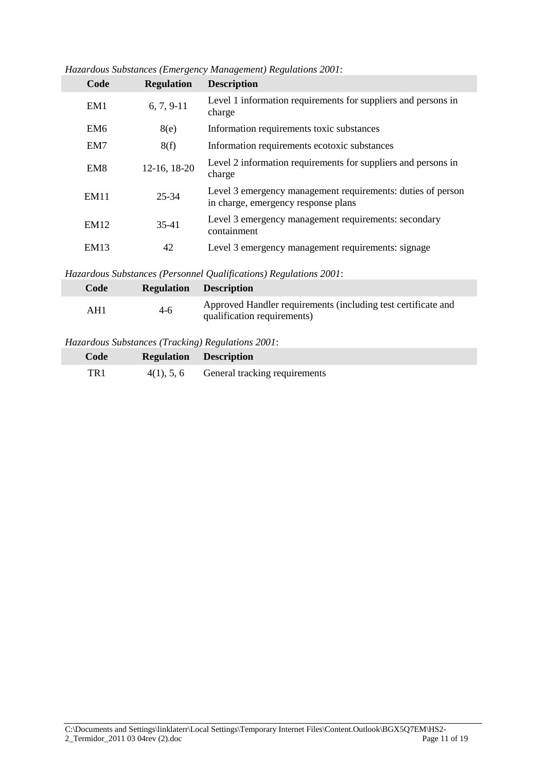| Code        | <b>Regulation</b> | <b>Description</b>                                                                                 |
|-------------|-------------------|----------------------------------------------------------------------------------------------------|
| EM1         | $6, 7, 9-11$      | Level 1 information requirements for suppliers and persons in<br>charge                            |
| EM6         | 8(e)              | Information requirements toxic substances                                                          |
| EM7         | 8(f)              | Information requirements ecotoxic substances                                                       |
| EM8         | 12-16, 18-20      | Level 2 information requirements for suppliers and persons in<br>charge                            |
| <b>EM11</b> | 25-34             | Level 3 emergency management requirements: duties of person<br>in charge, emergency response plans |
| EM12        | 35-41             | Level 3 emergency management requirements: secondary<br>containment                                |
| EM13        | 42                | Level 3 emergency management requirements: signage                                                 |

*Hazardous Substances (Emergency Management) Regulations 2001*:

*Hazardous Substances (Personnel Qualifications) Regulations 2001*:

| Code |       | <b>Regulation Description</b>                                                                |
|------|-------|----------------------------------------------------------------------------------------------|
| AH1  | $4-6$ | Approved Handler requirements (including test certificate and<br>qualification requirements) |

#### *Hazardous Substances (Tracking) Regulations 2001*:

| Code | <b>Regulation Description</b>               |
|------|---------------------------------------------|
| TR 1 | $4(1)$ , 5, 6 General tracking requirements |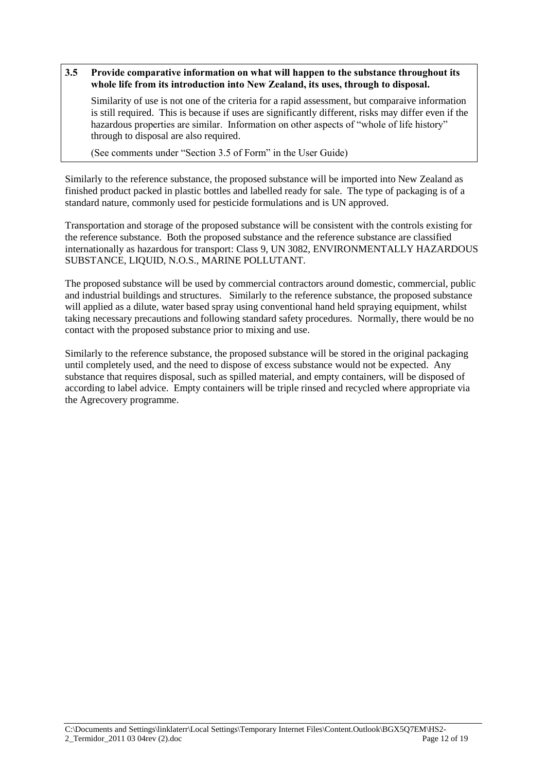#### **3.5 Provide comparative information on what will happen to the substance throughout its whole life from its introduction into New Zealand, its uses, through to disposal.**

Similarity of use is not one of the criteria for a rapid assessment, but comparaive information is still required. This is because if uses are significantly different, risks may differ even if the hazardous properties are similar. Information on other aspects of "whole of life history" through to disposal are also required.

(See comments under "Section 3.5 of Form" in the User Guide)

Similarly to the reference substance, the proposed substance will be imported into New Zealand as finished product packed in plastic bottles and labelled ready for sale. The type of packaging is of a standard nature, commonly used for pesticide formulations and is UN approved.

Transportation and storage of the proposed substance will be consistent with the controls existing for the reference substance. Both the proposed substance and the reference substance are classified internationally as hazardous for transport: Class 9, UN 3082, ENVIRONMENTALLY HAZARDOUS SUBSTANCE, LIQUID, N.O.S., MARINE POLLUTANT.

The proposed substance will be used by commercial contractors around domestic, commercial, public and industrial buildings and structures. Similarly to the reference substance, the proposed substance will applied as a dilute, water based spray using conventional hand held spraying equipment, whilst taking necessary precautions and following standard safety procedures. Normally, there would be no contact with the proposed substance prior to mixing and use.

Similarly to the reference substance, the proposed substance will be stored in the original packaging until completely used, and the need to dispose of excess substance would not be expected. Any substance that requires disposal, such as spilled material, and empty containers, will be disposed of according to label advice. Empty containers will be triple rinsed and recycled where appropriate via the Agrecovery programme.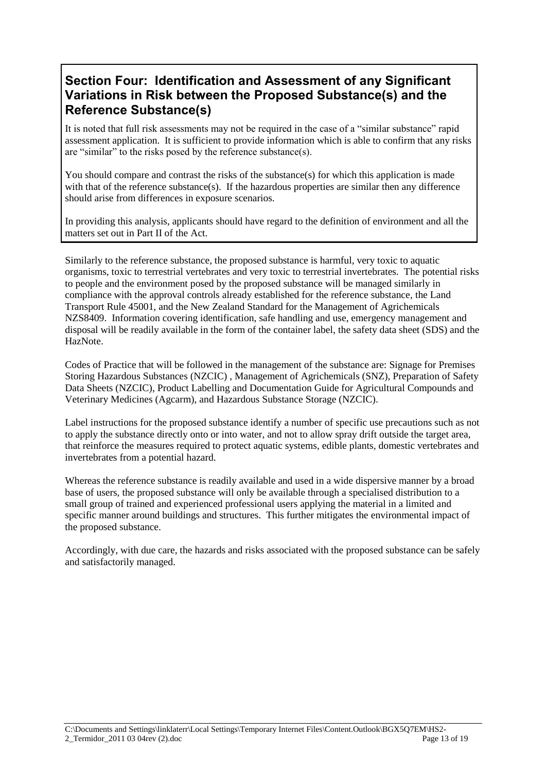### **Section Four: Identification and Assessment of any Significant Variations in Risk between the Proposed Substance(s) and the Reference Substance(s)**

It is noted that full risk assessments may not be required in the case of a "similar substance" rapid assessment application. It is sufficient to provide information which is able to confirm that any risks are "similar" to the risks posed by the reference substance(s).

You should compare and contrast the risks of the substance(s) for which this application is made with that of the reference substance(s). If the hazardous properties are similar then any difference should arise from differences in exposure scenarios.

In providing this analysis, applicants should have regard to the definition of environment and all the matters set out in Part II of the Act.

Similarly to the reference substance, the proposed substance is harmful, very toxic to aquatic organisms, toxic to terrestrial vertebrates and very toxic to terrestrial invertebrates. The potential risks to people and the environment posed by the proposed substance will be managed similarly in compliance with the approval controls already established for the reference substance, the Land Transport Rule 45001, and the New Zealand Standard for the Management of Agrichemicals NZS8409. Information covering identification, safe handling and use, emergency management and disposal will be readily available in the form of the container label, the safety data sheet (SDS) and the HazNote.

Codes of Practice that will be followed in the management of the substance are: Signage for Premises Storing Hazardous Substances (NZCIC) , Management of Agrichemicals (SNZ), Preparation of Safety Data Sheets (NZCIC), Product Labelling and Documentation Guide for Agricultural Compounds and Veterinary Medicines (Agcarm), and Hazardous Substance Storage (NZCIC).

Label instructions for the proposed substance identify a number of specific use precautions such as not to apply the substance directly onto or into water, and not to allow spray drift outside the target area, that reinforce the measures required to protect aquatic systems, edible plants, domestic vertebrates and invertebrates from a potential hazard.

Whereas the reference substance is readily available and used in a wide dispersive manner by a broad base of users, the proposed substance will only be available through a specialised distribution to a small group of trained and experienced professional users applying the material in a limited and specific manner around buildings and structures. This further mitigates the environmental impact of the proposed substance.

Accordingly, with due care, the hazards and risks associated with the proposed substance can be safely and satisfactorily managed.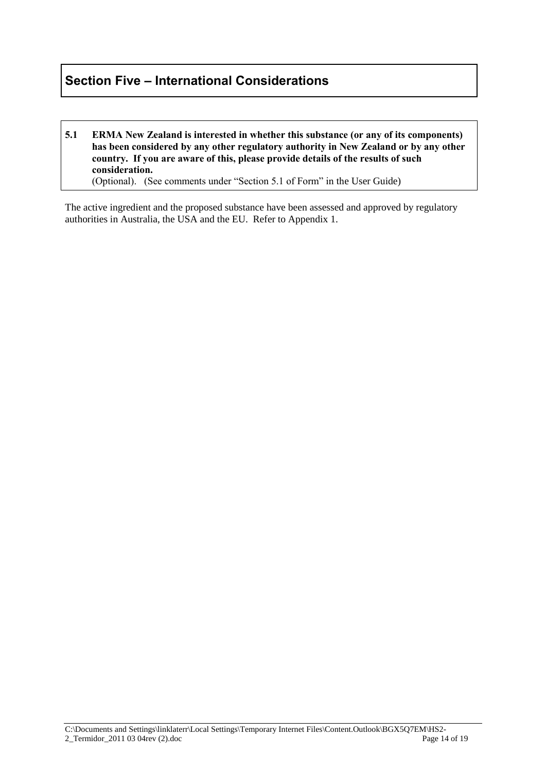### **Section Five – International Considerations**

**5.1 ERMA New Zealand is interested in whether this substance (or any of its components) has been considered by any other regulatory authority in New Zealand or by any other country. If you are aware of this, please provide details of the results of such consideration.**  (Optional). (See comments under "Section 5.1 of Form" in the User Guide)

The active ingredient and the proposed substance have been assessed and approved by regulatory authorities in Australia, the USA and the EU. Refer to Appendix 1.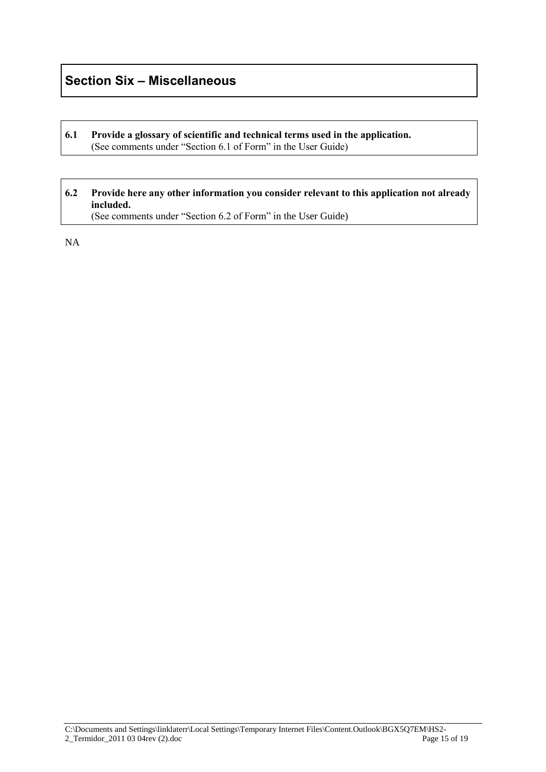### **Section Six – Miscellaneous**

#### **6.1 Provide a glossary of scientific and technical terms used in the application.**  (See comments under "Section 6.1 of Form" in the User Guide)

#### **6.2 Provide here any other information you consider relevant to this application not already included.**  (See comments under "Section 6.2 of Form" in the User Guide)

NA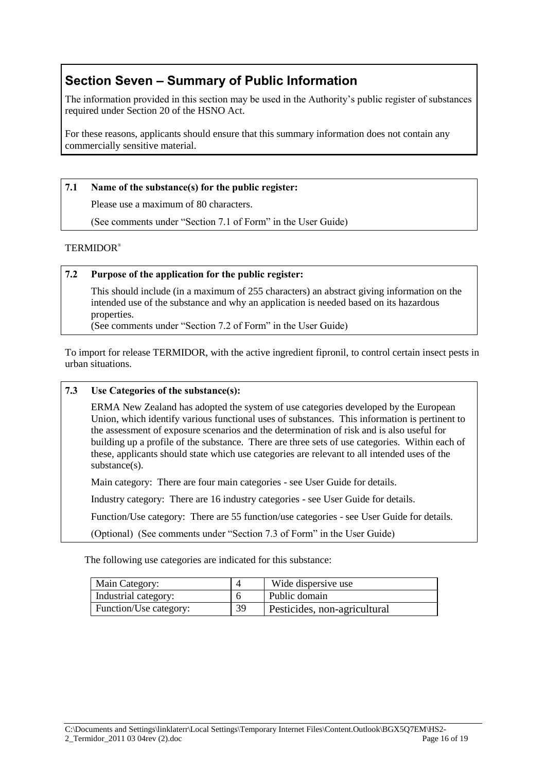### **Section Seven – Summary of Public Information**

The information provided in this section may be used in the Authority"s public register of substances required under Section 20 of the HSNO Act.

For these reasons, applicants should ensure that this summary information does not contain any commercially sensitive material.

#### **7.1 Name of the substance(s) for the public register:**

Please use a maximum of 80 characters.

(See comments under "Section 7.1 of Form" in the User Guide)

#### TERMIDOR®

#### **7.2 Purpose of the application for the public register:**

This should include (in a maximum of 255 characters) an abstract giving information on the intended use of the substance and why an application is needed based on its hazardous properties.

(See comments under "Section 7.2 of Form" in the User Guide)

To import for release TERMIDOR, with the active ingredient fipronil, to control certain insect pests in urban situations.

#### **7.3 Use Categories of the substance(s):**

ERMA New Zealand has adopted the system of use categories developed by the European Union, which identify various functional uses of substances. This information is pertinent to the assessment of exposure scenarios and the determination of risk and is also useful for building up a profile of the substance. There are three sets of use categories. Within each of these, applicants should state which use categories are relevant to all intended uses of the substance(s).

Main category: There are four main categories - see User Guide for details.

Industry category: There are 16 industry categories - see User Guide for details.

Function/Use category: There are 55 function/use categories - see User Guide for details.

(Optional) (See comments under "Section 7.3 of Form" in the User Guide)

The following use categories are indicated for this substance:

| Main Category:         |    | Wide dispersive use          |
|------------------------|----|------------------------------|
| Industrial category:   |    | Public domain                |
| Function/Use category: | 39 | Pesticides, non-agricultural |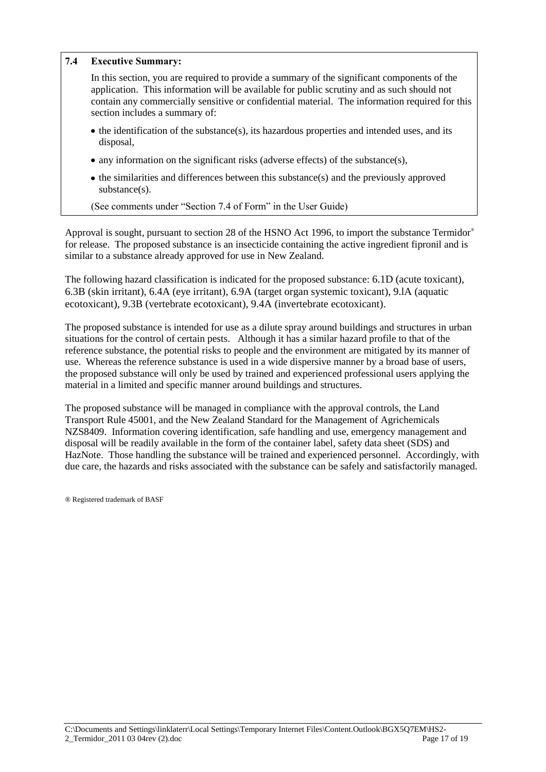#### **7.4 Executive Summary:**

In this section, you are required to provide a summary of the significant components of the application. This information will be available for public scrutiny and as such should not contain any commercially sensitive or confidential material. The information required for this section includes a summary of:

- $\bullet$  the identification of the substance(s), its hazardous properties and intended uses, and its disposal,
- $\bullet$  any information on the significant risks (adverse effects) of the substance(s),
- $\bullet$  the similarities and differences between this substance(s) and the previously approved substance(s).

(See comments under "Section 7.4 of Form" in the User Guide)

Approval is sought, pursuant to section 28 of the HSNO Act 1996, to import the substance Termidor® for release. The proposed substance is an insecticide containing the active ingredient fipronil and is similar to a substance already approved for use in New Zealand.

The following hazard classification is indicated for the proposed substance: 6.1D (acute toxicant), 6.3B (skin irritant), 6.4A (eye irritant), 6.9A (target organ systemic toxicant), 9.lA (aquatic ecotoxicant), 9.3B (vertebrate ecotoxicant), 9.4A (invertebrate ecotoxicant).

The proposed substance is intended for use as a dilute spray around buildings and structures in urban situations for the control of certain pests. Although it has a similar hazard profile to that of the reference substance, the potential risks to people and the environment are mitigated by its manner of use. Whereas the reference substance is used in a wide dispersive manner by a broad base of users, the proposed substance will only be used by trained and experienced professional users applying the material in a limited and specific manner around buildings and structures.

The proposed substance will be managed in compliance with the approval controls, the Land Transport Rule 45001, and the New Zealand Standard for the Management of Agrichemicals NZS8409. Information covering identification, safe handling and use, emergency management and disposal will be readily available in the form of the container label, safety data sheet (SDS) and HazNote. Those handling the substance will be trained and experienced personnel. Accordingly, with due care, the hazards and risks associated with the substance can be safely and satisfactorily managed.

® Registered trademark of BASF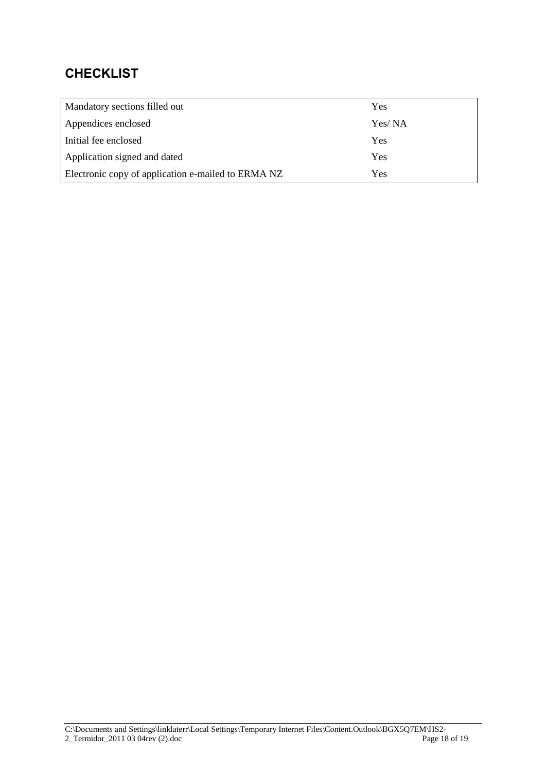## **CHECKLIST**

| Mandatory sections filled out                      | Yes    |
|----------------------------------------------------|--------|
| Appendices enclosed                                | Yes/NA |
| Initial fee enclosed                               | Yes    |
| Application signed and dated                       | Yes    |
| Electronic copy of application e-mailed to ERMA NZ | Yes    |